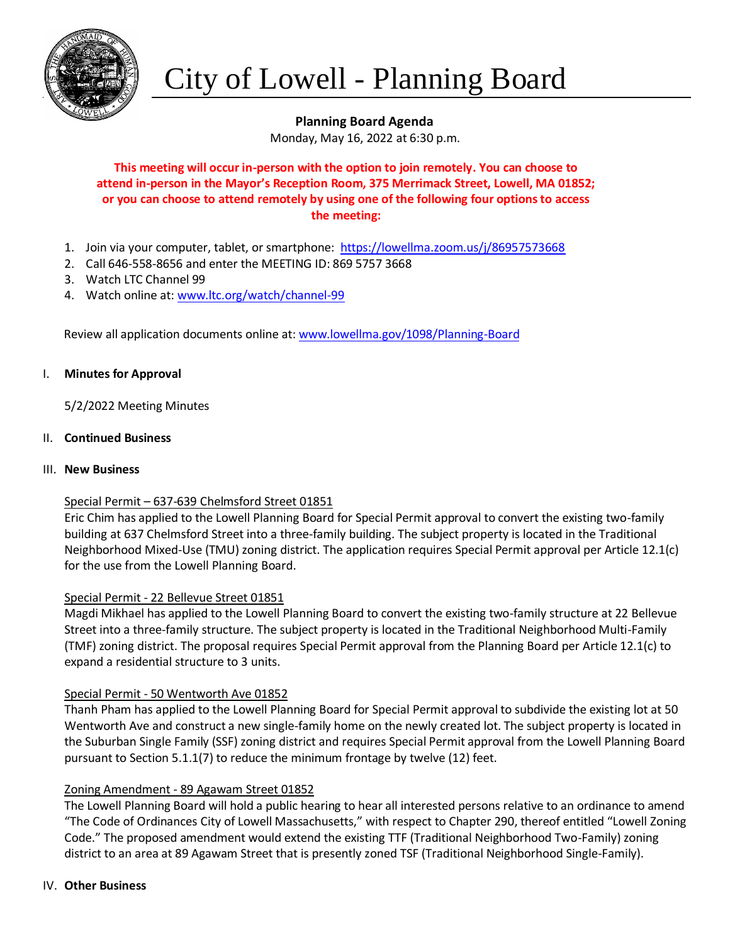

# City of Lowell - Planning Board

## **Planning Board Agenda**

Monday, May 16, 2022 at 6:30 p.m.

## **This meeting will occur in-person with the option to join remotely. You can choose to attend in-person in the Mayor's Reception Room, 375 Merrimack Street, Lowell, MA 01852; or you can choose to attend remotely by using one of the following four options to access the meeting:**

- 1. Join via your computer, tablet, or smartphone:<https://lowellma.zoom.us/j/86957573668>
- 2. Call 646-558-8656 and enter the MEETING ID: 869 5757 3668
- 3. Watch LTC Channel 99
- 4. Watch online at: www.ltc.org/watch/channel-99

Review all application documents online at[: www.lowellma.gov/1098/Planning-Board](http://www.lowellma.gov/1098/Planning-Board)

#### I. **Minutes for Approval**

5/2/2022 Meeting Minutes

#### II. **Continued Business**

#### III. **New Business**

## Special Permit – 637-639 Chelmsford Street 01851

Eric Chim has applied to the Lowell Planning Board for Special Permit approval to convert the existing two-family building at 637 Chelmsford Street into a three-family building. The subject property is located in the Traditional Neighborhood Mixed-Use (TMU) zoning district. The application requires Special Permit approval per Article 12.1(c) for the use from the Lowell Planning Board.

## Special Permit - 22 Bellevue Street 01851

Magdi Mikhael has applied to the Lowell Planning Board to convert the existing two-family structure at 22 Bellevue Street into a three-family structure. The subject property is located in the Traditional Neighborhood Multi-Family (TMF) zoning district. The proposal requires Special Permit approval from the Planning Board per Article 12.1(c) to expand a residential structure to 3 units.

## Special Permit - 50 Wentworth Ave 01852

Thanh Pham has applied to the Lowell Planning Board for Special Permit approval to subdivide the existing lot at 50 Wentworth Ave and construct a new single-family home on the newly created lot. The subject property is located in the Suburban Single Family (SSF) zoning district and requires Special Permit approval from the Lowell Planning Board pursuant to Section 5.1.1(7) to reduce the minimum frontage by twelve (12) feet.

## Zoning Amendment - 89 Agawam Street 01852

The Lowell Planning Board will hold a public hearing to hear all interested persons relative to an ordinance to amend "The Code of Ordinances City of Lowell Massachusetts," with respect to Chapter 290, thereof entitled "Lowell Zoning Code." The proposed amendment would extend the existing TTF (Traditional Neighborhood Two-Family) zoning district to an area at 89 Agawam Street that is presently zoned TSF (Traditional Neighborhood Single-Family).